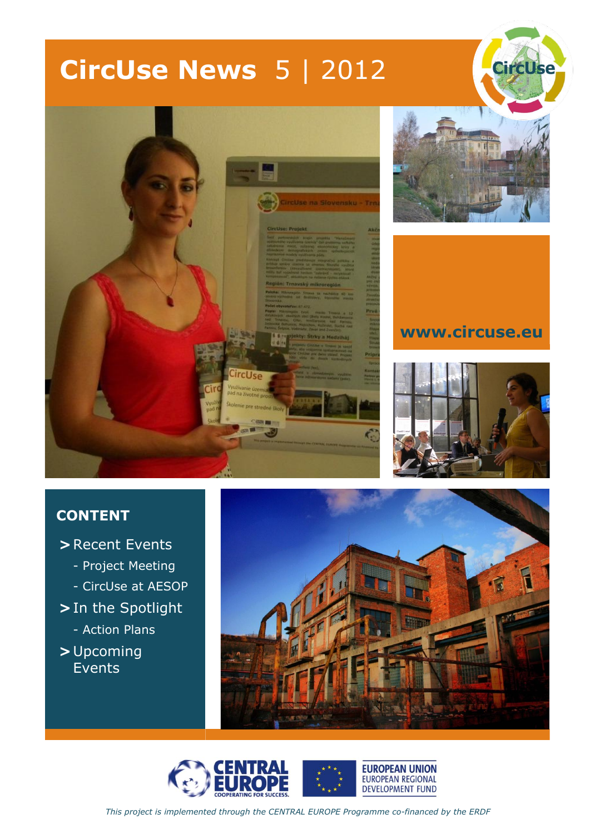# **CircUse News** 5 | 2012



### **CONTENT**

- **>** Recent Events
	- Project Meeting
	- CircUse at AESOP
- **>** In the Spotlight
	- Action Plans
- **>** Upcoming Events



**CircUse** 

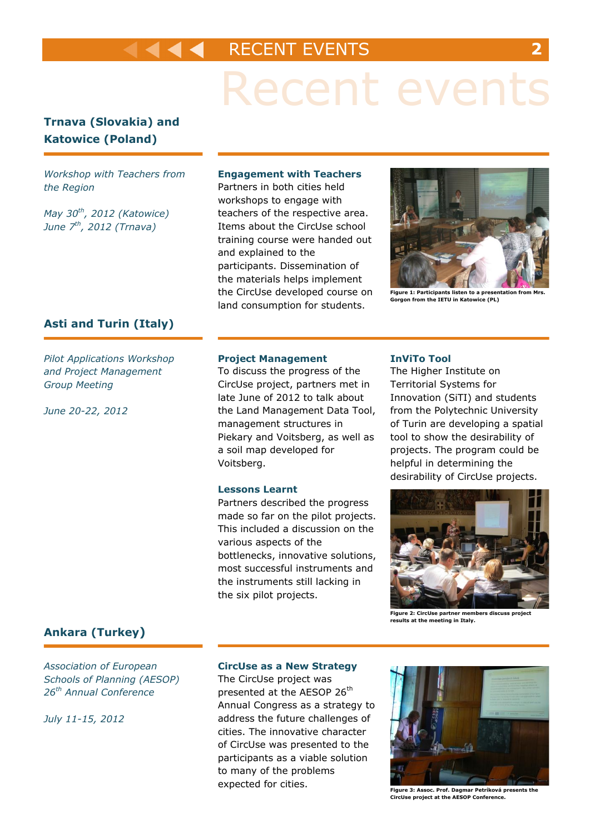### RECENT EVENTS **2**

# Recent events

### **Trnava (Slovakia) and Katowice (Poland)**

*Workshop with Teachers from the Region*

*May 30th, 2012 (Katowice) June 7th, 2012 (Trnava)*

#### **Engagement with Teachers**

Partners in both cities held workshops to engage with teachers of the respective area. Items about the CircUse school training course were handed out and explained to the participants. Dissemination of the materials helps implement the CircUse developed course on land consumption for students.



**Figure 1: Participants listen to a presentation from Mrs. Gorgon from the IETU in Katowice (PL)**

#### **Asti and Turin (Italy)**

*Pilot Applications Workshop and Project Management Group Meeting*

*June 20-22, 2012*

#### **Project Management**

To discuss the progress of the CircUse project, partners met in late June of 2012 to talk about the Land Management Data Tool, management structures in Piekary and Voitsberg, as well as a soil map developed for Voitsberg.

#### **Lessons Learnt**

Partners described the progress made so far on the pilot projects. This included a discussion on the various aspects of the bottlenecks, innovative solutions, most successful instruments and the instruments still lacking in the six pilot projects.

#### **InViTo Tool**

The Higher Institute on Territorial Systems for Innovation (SiTI) and students from the Polytechnic University of Turin are developing a spatial tool to show the desirability of projects. The program could be helpful in determining the desirability of CircUse projects.



**Figure 2: CircUse partner members discuss project results at the meeting in Italy.**

#### **Ankara (Turkey)**

*Association of European Schools of Planning (AESOP) 26th Annual Conference*

*July 11-15, 2012*

#### **CircUse as a New Strategy**

The CircUse project was presented at the AESOP 26<sup>th</sup> Annual Congress as a strategy to address the future challenges of cities. The innovative character of CircUse was presented to the participants as a viable solution to many of the problems expected for cities.



**Figure 3: Assoc. Prof. Dagmar Petríková presents the CircUse project at the AESOP Conference.**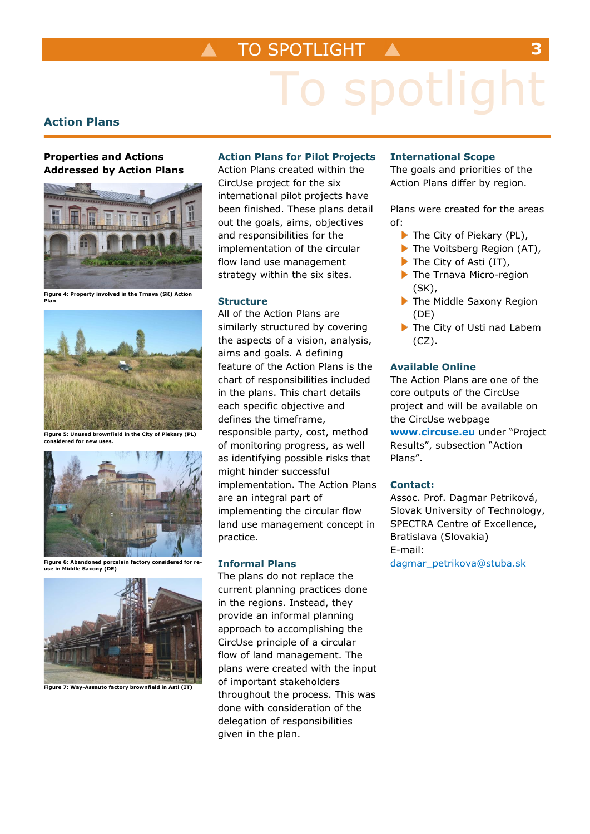## TO SPOTLIGHT **3**

# spotlight

#### **Action Plans**

#### **Properties and Actions Addressed by Action Plans**



**Figure 4: Property involved in the Trnava (SK) Action Plan**



**Figure 5: Unused brownfield in the City of Piekary (PL) considered for new uses.**



**Figure 6: Abandoned porcelain factory considered for reuse in Middle Saxony (DE)**



**Figure 7: Way-Assauto factory brownfield in Asti (IT)**

#### **Action Plans for Pilot Projects**

Action Plans created within the CircUse project for the six international pilot projects have been finished. These plans detail out the goals, aims, objectives and responsibilities for the implementation of the circular flow land use management strategy within the six sites.

#### **Structure**

All of the Action Plans are similarly structured by covering the aspects of a vision, analysis, aims and goals. A defining feature of the Action Plans is the chart of responsibilities included in the plans. This chart details each specific objective and defines the timeframe, responsible party, cost, method of monitoring progress, as well as identifying possible risks that might hinder successful implementation. The Action Plans are an integral part of implementing the circular flow land use management concept in practice.

#### **Informal Plans**

The plans do not replace the current planning practices done in the regions. Instead, they provide an informal planning approach to accomplishing the CircUse principle of a circular flow of land management. The plans were created with the input of important stakeholders throughout the process. This was done with consideration of the delegation of responsibilities given in the plan.

#### **International Scope**

The goals and priorities of the Action Plans differ by region.

Plans were created for the areas of:

- $\blacktriangleright$  The City of Piekary (PL),
- The Voitsberg Region (AT),
- The City of Asti (IT),
- The Trnava Micro-region (SK),
- The Middle Saxony Region (DE)
- The City of Usti nad Labem (CZ).

#### **Available Online**

The Action Plans are one of the core outputs of the CircUse project and will be available on the CircUse webpage **[www.circuse.eu](http://www.circuse.eu/)** under "Project Results", subsection "Action Plans".

#### **Contact:**

Assoc. Prof. Dagmar Petriková, Slovak University of Technology, SPECTRA Centre of Excellence, Bratislava (Slovakia) E-mail: [dagmar\\_petrikova@stuba.sk](mailto:dagmar_petrikova@stuba.sk)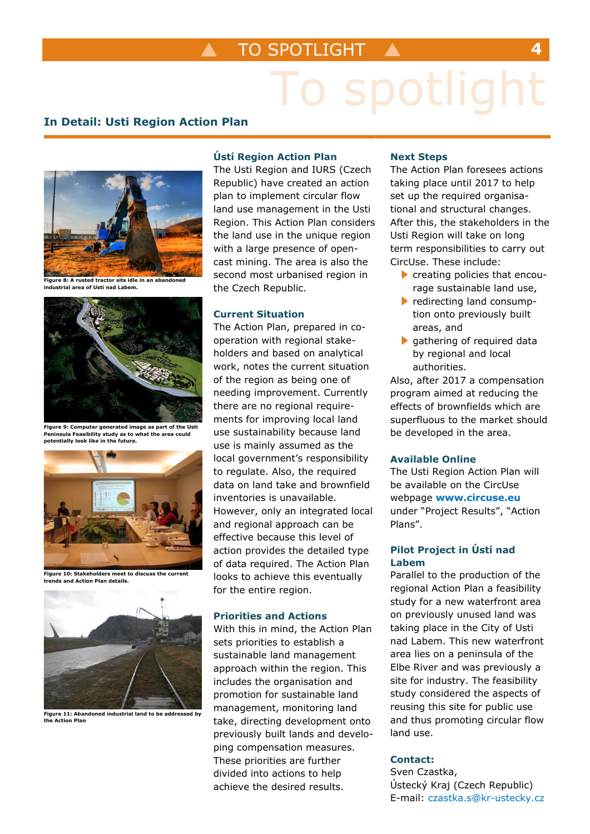# spotlight

#### **In Detail: Usti Region Action Plan**



**industrial area of Usti nad Labem.**



**Figure 9: Computer generated image as part of the Usti Peninsula Feasibility study as to what the area could potentially look like in the future.**



**Figure 10: Stakeholders meet to discuss the current trends and Action Plan details.**



**Figure 11: Abandoned industrial land to be addressed by the Action Plan**

#### **Ústí Region Action Plan**

The Usti Region and IURS (Czech Republic) have created an action plan to implement circular flow land use management in the Usti Region. This Action Plan considers the land use in the unique region with a large presence of opencast mining. The area is also the second most urbanised region in the Czech Republic.

#### **Current Situation**

The Action Plan, prepared in cooperation with regional stakeholders and based on analytical work, notes the current situation of the region as being one of needing improvement. Currently there are no regional requirements for improving local land use sustainability because land use is mainly assumed as the local government's responsibility to regulate. Also, the required data on land take and brownfield inventories is unavailable. However, only an integrated local and regional approach can be effective because this level of action provides the detailed type of data required. The Action Plan looks to achieve this eventually for the entire region.

#### **Priorities and Actions**

With this in mind, the Action Plan sets priorities to establish a sustainable land management approach within the region. This includes the organisation and promotion for sustainable land management, monitoring land take, directing development onto previously built lands and developing compensation measures. These priorities are further divided into actions to help achieve the desired results.

#### **Next Steps**

The Action Plan foresees actions taking place until 2017 to help set up the required organisational and structural changes. After this, the stakeholders in the Usti Region will take on long term responsibilities to carry out CircUse. These include:

- creating policies that encourage sustainable land use,
- redirecting land consumption onto previously built areas, and
- **p** gathering of required data by regional and local authorities.

Also, after 2017 a compensation program aimed at reducing the effects of brownfields which are superfluous to the market should be developed in the area.

#### **Available Online**

The Usti Region Action Plan will be available on the CircUse webpage **[www.circuse.eu](http://www.circuse.eu/)** under "Project Results", "Action Plans".

#### **Pilot Project in Ústí nad Labem**

Parallel to the production of the regional Action Plan a feasibility study for a new waterfront area on previously unused land was taking place in the City of Usti nad Labem. This new waterfront area lies on a peninsula of the Elbe River and was previously a site for industry. The feasibility study considered the aspects of reusing this site for public use and thus promoting circular flow land use.

#### **Contact:**

Sven Czastka, Ústecký Kraj (Czech Republic) E-mail: [czastka.s@kr-ustecky.cz](mailto:czastka.s@kr-ustecky.cz)